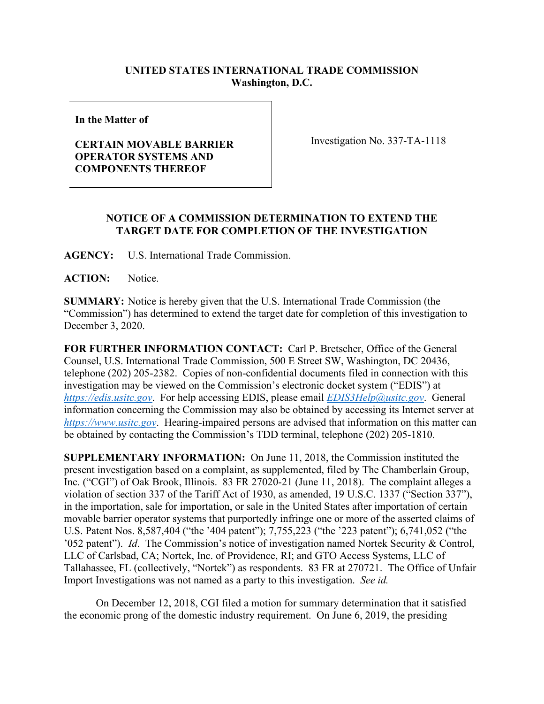## **UNITED STATES INTERNATIONAL TRADE COMMISSION Washington, D.C.**

**In the Matter of**

## **CERTAIN MOVABLE BARRIER OPERATOR SYSTEMS AND COMPONENTS THEREOF**

Investigation No. 337-TA-1118

## **NOTICE OF A COMMISSION DETERMINATION TO EXTEND THE TARGET DATE FOR COMPLETION OF THE INVESTIGATION**

**AGENCY:** U.S. International Trade Commission.

ACTION: Notice.

**SUMMARY:** Notice is hereby given that the U.S. International Trade Commission (the "Commission") has determined to extend the target date for completion of this investigation to December 3, 2020.

**FOR FURTHER INFORMATION CONTACT:** Carl P. Bretscher, Office of the General Counsel, U.S. International Trade Commission, 500 E Street SW, Washington, DC 20436, telephone (202) 205-2382. Copies of non-confidential documents filed in connection with this investigation may be viewed on the Commission's electronic docket system ("EDIS") at *[https://edis.usitc.gov](https://edis.usitc.gov/)*. For help accessing EDIS, please email *[EDIS3Help@usitc.gov](mailto:EDIS3Help@usitc.gov)*. General information concerning the Commission may also be obtained by accessing its Internet server at *[https://www.usitc.gov](https://www.usitc.gov/)*. Hearing-impaired persons are advised that information on this matter can be obtained by contacting the Commission's TDD terminal, telephone (202) 205-1810.

**SUPPLEMENTARY INFORMATION:** On June 11, 2018, the Commission instituted the present investigation based on a complaint, as supplemented, filed by The Chamberlain Group, Inc. ("CGI") of Oak Brook, Illinois. 83 FR 27020-21 (June 11, 2018). The complaint alleges a violation of section 337 of the Tariff Act of 1930, as amended, 19 U.S.C. 1337 ("Section 337"), in the importation, sale for importation, or sale in the United States after importation of certain movable barrier operator systems that purportedly infringe one or more of the asserted claims of U.S. Patent Nos. 8,587,404 ("the '404 patent"); 7,755,223 ("the '223 patent"); 6,741,052 ("the '052 patent"). *Id*. The Commission's notice of investigation named Nortek Security & Control, LLC of Carlsbad, CA; Nortek, Inc. of Providence, RI; and GTO Access Systems, LLC of Tallahassee, FL (collectively, "Nortek") as respondents. 83 FR at 270721. The Office of Unfair Import Investigations was not named as a party to this investigation. *See id.*

On December 12, 2018, CGI filed a motion for summary determination that it satisfied the economic prong of the domestic industry requirement. On June 6, 2019, the presiding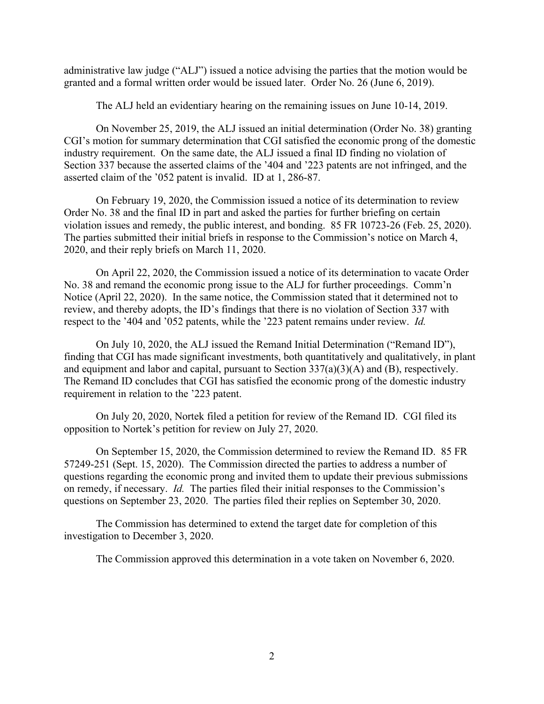administrative law judge ("ALJ") issued a notice advising the parties that the motion would be granted and a formal written order would be issued later. Order No. 26 (June 6, 2019).

The ALJ held an evidentiary hearing on the remaining issues on June 10-14, 2019.

On November 25, 2019, the ALJ issued an initial determination (Order No. 38) granting CGI's motion for summary determination that CGI satisfied the economic prong of the domestic industry requirement. On the same date, the ALJ issued a final ID finding no violation of Section 337 because the asserted claims of the '404 and '223 patents are not infringed, and the asserted claim of the '052 patent is invalid. ID at 1, 286-87.

On February 19, 2020, the Commission issued a notice of its determination to review Order No. 38 and the final ID in part and asked the parties for further briefing on certain violation issues and remedy, the public interest, and bonding. 85 FR 10723-26 (Feb. 25, 2020). The parties submitted their initial briefs in response to the Commission's notice on March 4, 2020, and their reply briefs on March 11, 2020.

On April 22, 2020, the Commission issued a notice of its determination to vacate Order No. 38 and remand the economic prong issue to the ALJ for further proceedings. Comm'n Notice (April 22, 2020). In the same notice, the Commission stated that it determined not to review, and thereby adopts, the ID's findings that there is no violation of Section 337 with respect to the '404 and '052 patents, while the '223 patent remains under review. *Id.*

On July 10, 2020, the ALJ issued the Remand Initial Determination ("Remand ID"), finding that CGI has made significant investments, both quantitatively and qualitatively, in plant and equipment and labor and capital, pursuant to Section 337(a)(3)(A) and (B), respectively. The Remand ID concludes that CGI has satisfied the economic prong of the domestic industry requirement in relation to the '223 patent.

On July 20, 2020, Nortek filed a petition for review of the Remand ID. CGI filed its opposition to Nortek's petition for review on July 27, 2020.

On September 15, 2020, the Commission determined to review the Remand ID. 85 FR 57249-251 (Sept. 15, 2020). The Commission directed the parties to address a number of questions regarding the economic prong and invited them to update their previous submissions on remedy, if necessary. *Id.* The parties filed their initial responses to the Commission's questions on September 23, 2020. The parties filed their replies on September 30, 2020.

The Commission has determined to extend the target date for completion of this investigation to December 3, 2020.

The Commission approved this determination in a vote taken on November 6, 2020.